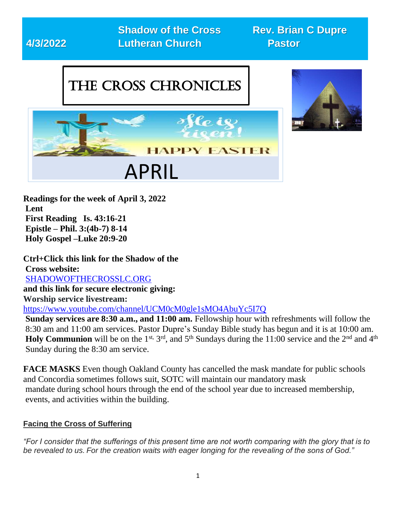

**Readings for the week of April 3, 2022 Lent First Reading Is. 43:16-21 Epistle – Phil. 3:(4b-7) 8-14 Holy Gospel –Luke 20:9-20**

**Ctrl+Click this link for the Shadow of the Cross website:**  SHADOWOFTHECROSSLC.ORG **and this link for secure electronic giving: Worship service livestream:**  <https://www.youtube.com/channel/UCM0cM0gle1sMO4AbuYc5I7Q> **Sunday services are 8:30 a.m., and 11:00 am.** Fellowship hour with refreshments will follow the 8:30 am and 11:00 am services. Pastor Dupre's Sunday Bible study has begun and it is at 10:00 am. **Holy Communion** will be on the 1<sup>st, 3rd</sup>, and 5<sup>th</sup> Sundays during the 11:00 service and the 2<sup>nd</sup> and 4<sup>th</sup> Sunday during the 8:30 am service.

**FACE MASKS** Even though Oakland County has cancelled the mask mandate for public schools and Concordia sometimes follows suit, SOTC will maintain our mandatory mask mandate during school hours through the end of the school year due to increased membership, events, and activities within the building.

#### **Facing the Cross of Suffering**

*"For I consider that the sufferings of this present time are not worth comparing with the glory that is to be revealed to us. For the creation waits with eager longing for the revealing of the sons of God."*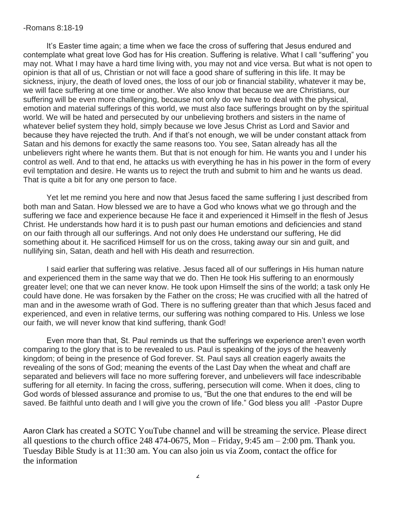#### -Romans 8:18-19

It's Easter time again; a time when we face the cross of suffering that Jesus endured and contemplate what great love God has for His creation. Suffering is relative. What I call "suffering" you may not. What I may have a hard time living with, you may not and vice versa. But what is not open to opinion is that all of us, Christian or not will face a good share of suffering in this life. It may be sickness, injury, the death of loved ones, the loss of our job or financial stability, whatever it may be, we will face suffering at one time or another. We also know that because we are Christians, our suffering will be even more challenging, because not only do we have to deal with the physical, emotion and material sufferings of this world, we must also face sufferings brought on by the spiritual world. We will be hated and persecuted by our unbelieving brothers and sisters in the name of whatever belief system they hold, simply because we love Jesus Christ as Lord and Savior and because they have rejected the truth. And if that's not enough, we will be under constant attack from Satan and his demons for exactly the same reasons too. You see, Satan already has all the unbelievers right where he wants them. But that is not enough for him. He wants you and I under his control as well. And to that end, he attacks us with everything he has in his power in the form of every evil temptation and desire. He wants us to reject the truth and submit to him and he wants us dead. That is quite a bit for any one person to face.

Yet let me remind you here and now that Jesus faced the same suffering I just described from both man and Satan. How blessed we are to have a God who knows what we go through and the suffering we face and experience because He face it and experienced it Himself in the flesh of Jesus Christ. He understands how hard it is to push past our human emotions and deficiencies and stand on our faith through all our sufferings. And not only does He understand our suffering, He did something about it. He sacrificed Himself for us on the cross, taking away our sin and guilt, and nullifying sin, Satan, death and hell with His death and resurrection.

I said earlier that suffering was relative. Jesus faced all of our sufferings in His human nature and experienced them in the same way that we do. Then He took His suffering to an enormously greater level; one that we can never know. He took upon Himself the sins of the world; a task only He could have done. He was forsaken by the Father on the cross; He was crucified with all the hatred of man and in the awesome wrath of God. There is no suffering greater than that which Jesus faced and experienced, and even in relative terms, our suffering was nothing compared to His. Unless we lose our faith, we will never know that kind suffering, thank God!

Even more than that, St. Paul reminds us that the sufferings we experience aren't even worth comparing to the glory that is to be revealed to us. Paul is speaking of the joys of the heavenly kingdom; of being in the presence of God forever. St. Paul says all creation eagerly awaits the revealing of the sons of God; meaning the events of the Last Day when the wheat and chaff are separated and believers will face no more suffering forever, and unbelievers will face indescribable suffering for all eternity. In facing the cross, suffering, persecution will come. When it does, cling to God words of blessed assurance and promise to us, "But the one that endures to the end will be saved. Be faithful unto death and I will give you the crown of life." God bless you all! -Pastor Dupre

Aaron Clark has created a SOTC YouTube channel and will be streaming the service. Please direct all questions to the church office 248 474-0675, Mon – Friday, 9:45 am – 2:00 pm. Thank you. Tuesday Bible Study is at 11:30 am. You can also join us via Zoom, contact the office for the information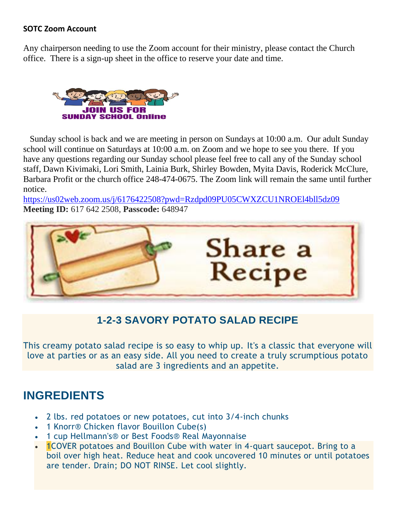#### **SOTC Zoom Account**

Any chairperson needing to use the Zoom account for their ministry, please contact the Church office. There is a sign-up sheet in the office to reserve your date and time.



 Sunday school is back and we are meeting in person on Sundays at 10:00 a.m. Our adult Sunday school will continue on Saturdays at 10:00 a.m. on Zoom and we hope to see you there. If you have any questions regarding our Sunday school please feel free to call any of the Sunday school staff, Dawn Kivimaki, Lori Smith, Lainia Burk, Shirley Bowden, Myita Davis, Roderick McClure, Barbara Profit or the church office 248-474-0675. The Zoom link will remain the same until further notice.

<https://us02web.zoom.us/j/6176422508?pwd=Rzdpd09PU05CWXZCU1NROEl4bll5dz09> **Meeting ID:** 617 642 2508, **Passcode:** 648947



## **1-2-3 SAVORY POTATO SALAD RECIPE**

This creamy potato salad recipe is so easy to whip up. It's a classic that everyone will love at parties or as an easy side. All you need to create a truly scrumptious potato salad are 3 ingredients and an appetite.

## **INGREDIENTS**

- 2 lbs. red potatoes or new potatoes, cut into 3/4-inch chunks
- 1 Knorr<sup>®</sup> Chicken flavor Bouillon Cube(s)
- 1 cup Hellmann's® or Best Foods® Real Mayonnaise
- **1COVER** potatoes and Bouillon Cube with water in 4-quart saucepot. Bring to a boil over high heat. Reduce heat and cook uncovered 10 minutes or until potatoes are tender. Drain; DO NOT RINSE. Let cool slightly.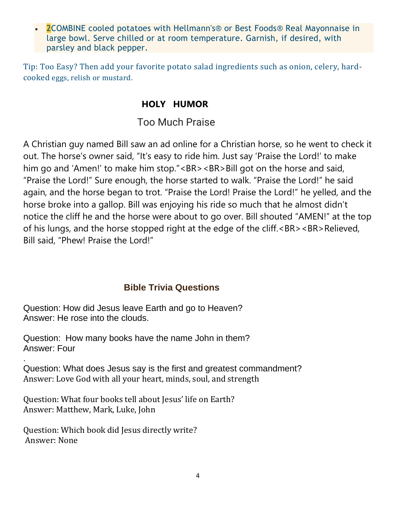• 2COMBINE cooled potatoes with Hellmann's® or Best Foods® Real Mayonnaise in large bowl. Serve chilled or at room temperature. Garnish, if desired, with parsley and black pepper.

Tip: Too Easy? Then add your favorite potato salad ingredients such as onion, celery, hardcooked eggs, relish or mustard.

#### **HOLY HUMOR**

Too Much Praise

A Christian guy named Bill saw an ad online for a Christian horse, so he went to check it out. The horse's owner said, "It's easy to ride him. Just say 'Praise the Lord!' to make him go and 'Amen!' to make him stop."<BR><BR>Bill got on the horse and said, "Praise the Lord!" Sure enough, the horse started to walk. "Praise the Lord!" he said again, and the horse began to trot. "Praise the Lord! Praise the Lord!" he yelled, and the horse broke into a gallop. Bill was enjoying his ride so much that he almost didn't notice the cliff he and the horse were about to go over. Bill shouted "AMEN!" at the top of his lungs, and the horse stopped right at the edge of the cliff.<BR><BR>Relieved, Bill said, "Phew! Praise the Lord!"

### **Bible Trivia Questions**

Question: How did Jesus leave Earth and go to Heaven? Answer: He rose into the clouds.

Question: How many books have the name John in them? Answer: Four

. Question: What does Jesus say is the first and greatest commandment? Answer: Love God with all your heart, minds, soul, and strength

Question: What four books tell about Jesus' life on Earth? Answer: Matthew, Mark, Luke, John

Question: Which book did Jesus directly write? Answer: None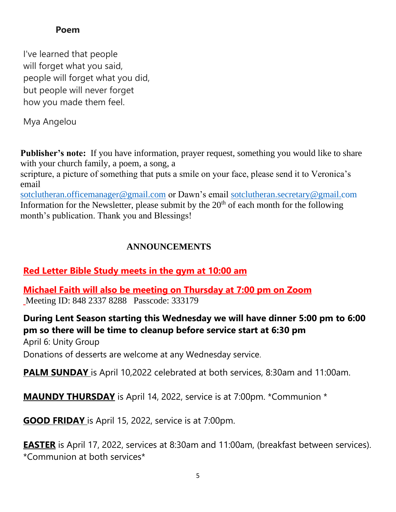#### **Poem**

I've learned that people will forget what you said, people will forget what you did, but people will never forget how you made them feel.

Mya Angelou

**Publisher's note:** If you have information, prayer request, something you would like to share with your church family, a poem, a song, a

scripture, a picture of something that puts a smile on your face, please send it to Veronica's email

[sotclutheran.officemanager@gmail.com](mailto:sotclutheran.officemanager@gmail.com) or Dawn's email [sotclutheran.secretary@gmail.com](mailto:sotclutheran.secretary@gmail.com) Information for the Newsletter, please submit by the  $20<sup>th</sup>$  of each month for the following month's publication. Thank you and Blessings!

### **ANNOUNCEMENTS**

### **Red Letter Bible Study meets in the gym at 10:00 am**

**Michael Faith will also be meeting on Thursday at 7:00 pm on Zoom** Meeting ID: 848 2337 8288 Passcode: 333179

## **During Lent Season starting this Wednesday we will have dinner 5:00 pm to 6:00 pm so there will be time to cleanup before service start at 6:30 pm**

April 6: Unity Group

Donations of desserts are welcome at any Wednesday service.

**PALM SUNDAY** is April 10,2022 celebrated at both services, 8:30am and 11:00am.

**MAUNDY THURSDAY** is April 14, 2022, service is at 7:00pm. \*Communion \*

**GOOD FRIDAY** is April 15, 2022, service is at 7:00pm.

**EASTER** is April 17, 2022, services at 8:30am and 11:00am, (breakfast between services). \*Communion at both services\*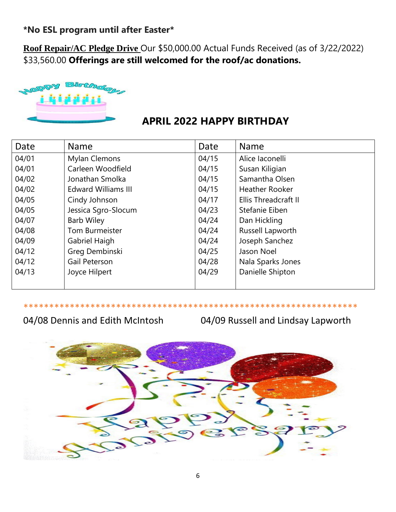**\*No ESL program until after Easter\***

**Roof Repair/AC Pledge Drive** Our \$50,000.00 Actual Funds Received (as of 3/22/2022) \$33,560.00 **Offerings are still welcomed for the roof/ac donations.**



## **APRIL 2022 HAPPY BIRTHDAY**

| Date  | <b>Name</b>                | Date  | <b>Name</b>           |
|-------|----------------------------|-------|-----------------------|
| 04/01 | Mylan Clemons              | 04/15 | Alice laconelli       |
| 04/01 | Carleen Woodfield          | 04/15 | Susan Kiligian        |
| 04/02 | Jonathan Smolka            | 04/15 | Samantha Olsen        |
| 04/02 | <b>Edward Williams III</b> | 04/15 | <b>Heather Rooker</b> |
| 04/05 | Cindy Johnson              | 04/17 | Ellis Threadcraft II  |
| 04/05 | Jessica Sgro-Slocum        | 04/23 | Stefanie Eiben        |
| 04/07 | <b>Barb Wiley</b>          | 04/24 | Dan Hickling          |
| 04/08 | <b>Tom Burmeister</b>      | 04/24 | Russell Lapworth      |
| 04/09 | Gabriel Haigh              | 04/24 | Joseph Sanchez        |
| 04/12 | Greg Dembinski             | 04/25 | Jason Noel            |
| 04/12 | Gail Peterson              | 04/28 | Nala Sparks Jones     |
| 04/13 | Joyce Hilpert              | 04/29 | Danielle Shipton      |
|       |                            |       |                       |

\*\*\*\*\*\*\*\*\*\*\*\*\*\*\*\*\*\*\*\*\*\*\*\*\*\*\*\*\*\*\*\*\*\*\*\*\*\*\*\*\*\*\*\*\*\*\*\*\*\*\*\*\*\*\*\*\*\*\*\*\*\*\*\*\*

## 04/08 Dennis and Edith McIntosh 04/09 Russell and Lindsay Lapworth